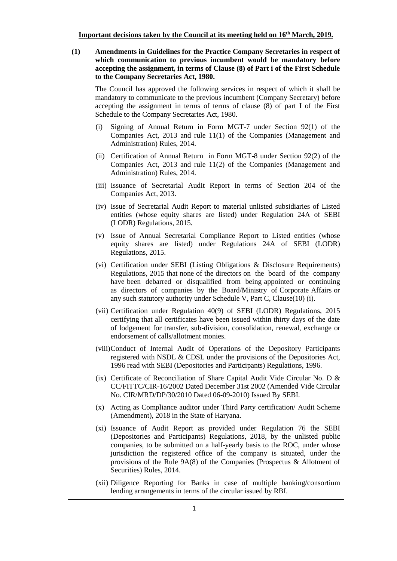**Important decisions taken by the Council at its meeting held on 16th March, 2019.**

| <u>Important decisions taken by the Council at its meeting held on To''' March, 2019.</u> |     |                                                                                                                                                                                                                                                                                                                                                                                         |
|-------------------------------------------------------------------------------------------|-----|-----------------------------------------------------------------------------------------------------------------------------------------------------------------------------------------------------------------------------------------------------------------------------------------------------------------------------------------------------------------------------------------|
| (1)                                                                                       |     | Amendments in Guidelines for the Practice Company Secretaries in respect of<br>which communication to previous incumbent would be mandatory before<br>accepting the assignment, in terms of Clause (8) of Part i of the First Schedule<br>to the Company Secretaries Act, 1980.                                                                                                         |
|                                                                                           |     | The Council has approved the following services in respect of which it shall be<br>mandatory to communicate to the previous incumbent (Company Secretary) before<br>accepting the assignment in terms of terms of clause (8) of part I of the First<br>Schedule to the Company Secretaries Act, 1980.                                                                                   |
|                                                                                           | (i) | Signing of Annual Return in Form MGT-7 under Section 92(1) of the<br>Companies Act, 2013 and rule 11(1) of the Companies (Management and<br>Administration) Rules, 2014.                                                                                                                                                                                                                |
|                                                                                           |     | (ii) Certification of Annual Return in Form MGT-8 under Section 92(2) of the<br>Companies Act, 2013 and rule 11(2) of the Companies (Management and<br>Administration) Rules, 2014.                                                                                                                                                                                                     |
|                                                                                           |     | (iii) Issuance of Secretarial Audit Report in terms of Section 204 of the<br>Companies Act, 2013.                                                                                                                                                                                                                                                                                       |
|                                                                                           |     | (iv) Issue of Secretarial Audit Report to material unlisted subsidiaries of Listed<br>entities (whose equity shares are listed) under Regulation 24A of SEBI<br>(LODR) Regulations, 2015.                                                                                                                                                                                               |
|                                                                                           |     | (v) Issue of Annual Secretarial Compliance Report to Listed entities (whose<br>equity shares are listed) under Regulations 24A of SEBI (LODR)<br>Regulations, 2015.                                                                                                                                                                                                                     |
|                                                                                           |     | (vi) Certification under SEBI (Listing Obligations & Disclosure Requirements)<br>Regulations, 2015 that none of the directors on the board of the company<br>have been debarred or disqualified from being appointed or continuing<br>as directors of companies by the Board/Ministry of Corporate Affairs or<br>any such statutory authority under Schedule V, Part C, Clause(10) (i). |
|                                                                                           |     | (vii) Certification under Regulation 40(9) of SEBI (LODR) Regulations, 2015<br>certifying that all certificates have been issued within thirty days of the date<br>of lodgement for transfer, sub-division, consolidation, renewal, exchange or<br>endorsement of calls/allotment monies.                                                                                               |
|                                                                                           |     | (viii) Conduct of Internal Audit of Operations of the Depository Participants<br>registered with NSDL & CDSL under the provisions of the Depositories Act,<br>1996 read with SEBI (Depositories and Participants) Regulations, 1996.                                                                                                                                                    |
|                                                                                           |     | (ix) Certificate of Reconciliation of Share Capital Audit Vide Circular No. D &<br>CC/FITTC/CIR-16/2002 Dated December 31st 2002 (Amended Vide Circular<br>No. CIR/MRD/DP/30/2010 Dated 06-09-2010) Issued By SEBI.                                                                                                                                                                     |
|                                                                                           |     | (x) Acting as Compliance auditor under Third Party certification/ Audit Scheme<br>(Amendment), 2018 in the State of Haryana.                                                                                                                                                                                                                                                            |
|                                                                                           |     | (xi) Issuance of Audit Report as provided under Regulation 76 the SEBI<br>(Depositories and Participants) Regulations, 2018, by the unlisted public<br>to be submitted on a holf yourly begin to the DOC under whose                                                                                                                                                                    |

companies, to be submitted on a half-yearly basis to the ROC, under whose jurisdiction the registered office of the company is situated, under the provisions of the Rule 9A(8) of the Companies (Prospectus & Allotment of Securities) Rules, 2014.

(xii) Diligence Reporting for Banks in case of multiple banking/consortium lending arrangements in terms of the circular issued by RBI.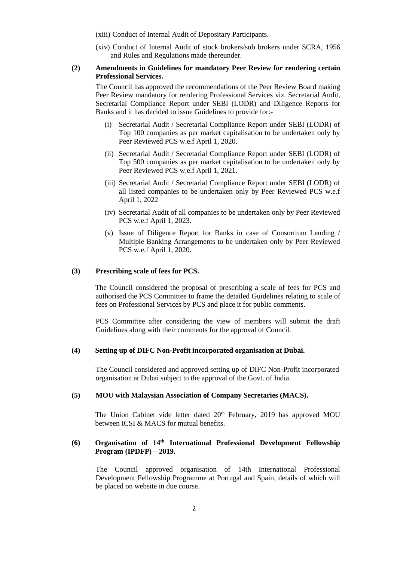|     | (xiii) Conduct of Internal Audit of Depositary Participants.                                                                                                                                                                                                                                                    |
|-----|-----------------------------------------------------------------------------------------------------------------------------------------------------------------------------------------------------------------------------------------------------------------------------------------------------------------|
|     | (xiv) Conduct of Internal Audit of stock brokers/sub brokers under SCRA, 1956<br>and Rules and Regulations made thereunder.                                                                                                                                                                                     |
| (2) | Amendments in Guidelines for mandatory Peer Review for rendering certain<br><b>Professional Services.</b>                                                                                                                                                                                                       |
|     | The Council has approved the recommendations of the Peer Review Board making<br>Peer Review mandatory for rendering Professional Services viz. Secretarial Audit,<br>Secretarial Compliance Report under SEBI (LODR) and Diligence Reports for<br>Banks and it has decided to issue Guidelines to provide for:- |
|     | Secretarial Audit / Secretarial Compliance Report under SEBI (LODR) of<br>(i)<br>Top 100 companies as per market capitalisation to be undertaken only by<br>Peer Reviewed PCS w.e.f April 1, 2020.                                                                                                              |
|     | (ii) Secretarial Audit / Secretarial Compliance Report under SEBI (LODR) of<br>Top 500 companies as per market capitalisation to be undertaken only by<br>Peer Reviewed PCS w.e.f April 1, 2021.                                                                                                                |
|     | (iii) Secretarial Audit / Secretarial Compliance Report under SEBI (LODR) of<br>all listed companies to be undertaken only by Peer Reviewed PCS w.e.f<br>April 1, 2022                                                                                                                                          |
|     | (iv) Secretarial Audit of all companies to be undertaken only by Peer Reviewed<br>PCS w.e.f April 1, 2023.                                                                                                                                                                                                      |
|     | (v) Issue of Diligence Report for Banks in case of Consortium Lending /<br>Multiple Banking Arrangements to be undertaken only by Peer Reviewed<br>PCS w.e.f April 1, 2020.                                                                                                                                     |
| (3) | Prescribing scale of fees for PCS.                                                                                                                                                                                                                                                                              |
|     | The Council considered the proposal of prescribing a scale of fees for PCS and<br>authorised the PCS Committee to frame the detailed Guidelines relating to scale of<br>fees on Professional Services by PCS and place it for public comments.                                                                  |
|     | PCS Committee after considering the view of members will submit the draft<br>Guidelines along with their comments for the approval of Council.                                                                                                                                                                  |
| (4) | Setting up of DIFC Non-Profit incorporated organisation at Dubai.                                                                                                                                                                                                                                               |
|     | The Council considered and approved setting up of DIFC Non-Profit incorporated<br>organisation at Dubai subject to the approval of the Govt. of India.                                                                                                                                                          |
| (5) | <b>MOU</b> with Malaysian Association of Company Secretaries (MACS).                                                                                                                                                                                                                                            |
|     | The Union Cabinet vide letter dated 20 <sup>th</sup> February, 2019 has approved MOU<br>between ICSI & MACS for mutual benefits.                                                                                                                                                                                |
| (6) | Organisation of 14 <sup>th</sup> International Professional Development Fellowship<br>Program $(IPDFP) - 2019$ .                                                                                                                                                                                                |
|     | approved organisation of 14th International Professional<br>The<br>Council<br>Development Fellowship Programme at Portugal and Spain, details of which will<br>be placed on website in due course.                                                                                                              |
|     | 2                                                                                                                                                                                                                                                                                                               |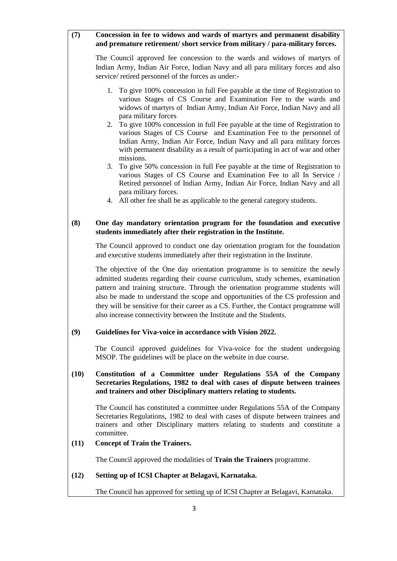## **(7) Concession in fee to widows and wards of martyrs and permanent disability and premature retirement/ short service from military / para-military forces.**

The Council approved fee concession to the wards and widows of martyrs of Indian Army, Indian Air Force, Indian Navy and all para military forces and also service/ retired personnel of the forces as under:-

- 1. To give 100% concession in full Fee payable at the time of Registration to various Stages of CS Course and Examination Fee to the wards and widows of martyrs of Indian Army, Indian Air Force, Indian Navy and all para military forces
- 2. To give 100% concession in full Fee payable at the time of Registration to various Stages of CS Course and Examination Fee to the personnel of Indian Army, Indian Air Force, Indian Navy and all para military forces with permanent disability as a result of participating in act of war and other missions.
- 3. To give 50% concession in full Fee payable at the time of Registration to various Stages of CS Course and Examination Fee to all In Service / Retired personnel of Indian Army, Indian Air Force, Indian Navy and all para military forces.
- 4. All other fee shall be as applicable to the general category students.

## **(8) One day mandatory orientation program for the foundation and executive students immediately after their registration in the Institute.**

The Council approved to conduct one day orientation program for the foundation and executive students immediately after their registration in the Institute.

The objective of the One day orientation programme is to sensitize the newly admitted students regarding their course curriculum, study schemes, examination pattern and training structure. Through the orientation programme students will also be made to understand the scope and opportunities of the CS profession and they will be sensitive for their career as a CS. Further, the Contact programme will also increase connectivity between the Institute and the Students.

#### **(9) Guidelines for Viva-voice in accordance with Vision 2022.**

The Council approved guidelines for Viva-voice for the student undergoing MSOP. The guidelines will be place on the website in due course.

## **(10) Constitution of a Committee under Regulations 55A of the Company Secretaries Regulations, 1982 to deal with cases of dispute between trainees and trainers and other Disciplinary matters relating to students.**

The Council has constituted a committee under Regulations 55A of the Company Secretaries Regulations, 1982 to deal with cases of dispute between trainees and trainers and other Disciplinary matters relating to students and constitute a committee.

#### **(11) Concept of Train the Trainers.**

The Council approved the modalities of **Train the Trainers** programme.

#### **(12) Setting up of ICSI Chapter at Belagavi, Karnataka.**

The Council has approved for setting up of ICSI Chapter at Belagavi, Karnataka.